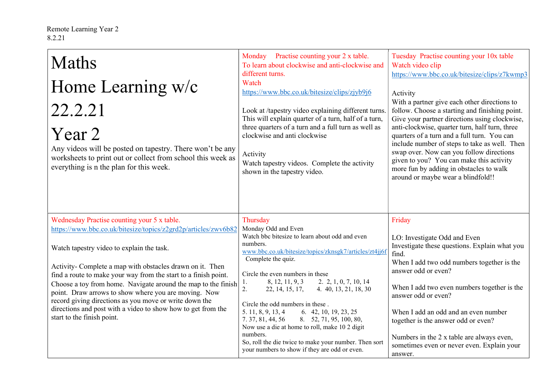| <b>Maths</b><br>Home Learning w/c<br>22.2.21<br>Year 2<br>Any videos will be posted on tapestry. There won't be any<br>worksheets to print out or collect from school this week as<br>everything is n the plan for this week.                                                                                                                                                                                                                                                                                                                                               | Monday Practise counting your 2 x table.<br>To learn about clockwise and anti-clockwise and<br>different turns.<br>Watch<br>https://www.bbc.co.uk/bitesize/clips/zjyb9j6<br>Look at /tapestry video explaining different turns.<br>This will explain quarter of a turn, half of a turn,<br>three quarters of a turn and a full turn as well as<br>clockwise and anti clockwise<br>Activity<br>Watch tapestry videos. Complete the activity<br>shown in the tapestry video.                                                                                                                                                      | Tuesday Practise counting your 10x table<br>Watch video clip<br>https://www.bbc.co.uk/bitesize/clips/z7kwmp3<br>Activity<br>With a partner give each other directions to<br>follow. Choose a starting and finishing point.<br>Give your partner directions using clockwise,<br>anti-clockwise, quarter turn, half turn, three<br>quarters of a turn and a full turn. You can<br>include number of steps to take as well. Then<br>swap over. Now can you follow directions<br>given to you? You can make this activity<br>more fun by adding in obstacles to walk<br>around or maybe wear a blindfold!! |
|-----------------------------------------------------------------------------------------------------------------------------------------------------------------------------------------------------------------------------------------------------------------------------------------------------------------------------------------------------------------------------------------------------------------------------------------------------------------------------------------------------------------------------------------------------------------------------|---------------------------------------------------------------------------------------------------------------------------------------------------------------------------------------------------------------------------------------------------------------------------------------------------------------------------------------------------------------------------------------------------------------------------------------------------------------------------------------------------------------------------------------------------------------------------------------------------------------------------------|--------------------------------------------------------------------------------------------------------------------------------------------------------------------------------------------------------------------------------------------------------------------------------------------------------------------------------------------------------------------------------------------------------------------------------------------------------------------------------------------------------------------------------------------------------------------------------------------------------|
| Wednesday Practise counting your 5 x table.<br>https://www.bbc.co.uk/bitesize/topics/z2grd2p/articles/zwv6b82<br>Watch tapestry video to explain the task.<br>Activity- Complete a map with obstacles drawn on it. Then<br>find a route to make your way from the start to a finish point.<br>Choose a toy from home. Navigate around the map to the finish<br>point. Draw arrows to show where you are moving. Now<br>record giving directions as you move or write down the<br>directions and post with a video to show how to get from the<br>start to the finish point. | Thursday<br>Monday Odd and Even<br>Watch bbc bitesize to learn about odd and even<br>numbers.<br>www.bbc.co.uk/bitesize/topics/zknsgk7/articles/zt4jj6f<br>Complete the quiz.<br>Circle the even numbers in these<br>8, 12, 11, 9, 3<br>2. 2, 1, 0, 7, 10, 14<br>1.<br>2.<br>22, 14, 15, 17,<br>4. 40, 13, 21, 18, 30<br>Circle the odd numbers in these.<br>5. 11, 8, 9, 13, 4<br>6. 42, 10, 19, 23, 25<br>7.37, 81, 44, 56<br>8. 52, 71, 95, 100, 80,<br>Now use a die at home to roll, make 10 2 digit<br>numbers.<br>So, roll the die twice to make your number. Then sort<br>your numbers to show if they are odd or even. | Friday<br>LO: Investigate Odd and Even<br>Investigate these questions. Explain what you<br>find.<br>When I add two odd numbers together is the<br>answer odd or even?<br>When I add two even numbers together is the<br>answer odd or even?<br>When I add an odd and an even number<br>together is the answer odd or even?<br>Numbers in the 2 x table are always even,<br>sometimes even or never even. Explain your<br>answer.                                                                                                                                                                       |